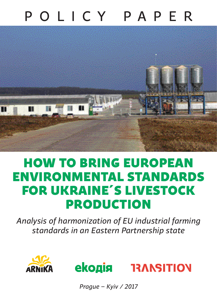# POLICY PAPER



## HOW TO BRING EUROPEAN ENVIRONMENTAL STANDARDS FOR UKRAINE´S LIVESTOCK PRODUCTION

*Analysis of harmonization of EU industrial farming standards in an Eastern Partnership state*





*Prague – Kyiv / 2017*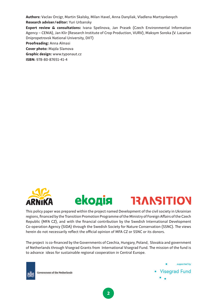**Authors:** Vaclav Orcigr, Martin Skalsky, Milan Havel, Anna Danyliak, Vladlena Martsynkevych

**Research adviser/editor:** Yuri Urbansky

**Expert review & consultations:** Ivana Spelinova, Jan Prasek (Czech Environmental Information Agency − CENIA), Jan Klir (Research Institute of Crop Production, VURV), Maksym Soroka (V. Lazarian Dnipropetrovsk National University, DIIT)

**Proofreading:** Anna Almasi

**Cover photo:** Majda Slamova

**Graphic design:** www.typonaut.cz

**ISBN:** 978-80-87651-41-4





This policy paper was prepared within the project named Development of the civil society in Ukrainian regions, financed by the Transition Promotion Programme of the Ministry of Foreign Affairs of the Czech Republic (MFA CZ), and with the financial contribution by the Swedish International Development Co-operation Agency (SIDA) through the Swedish Society for Nature Conservation (SSNC). The views herein do not necessarily reflect the official opinion of MFA CZ or SSNC or its donors.

The project is co-financed by the Governments of Czechia, Hungary, Poland, Slovakia and government of Netherlands through Visegrad Grants from International Visegrad Fund. The mission of the fund is to advance ideas for sustainable regional cooperation in Central Europe.



Government of the Netherlands

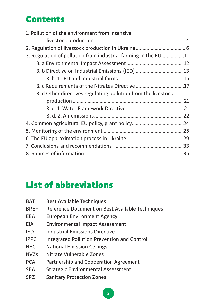## Contents

| 1. Pollution of the environment from intensive                  |  |
|-----------------------------------------------------------------|--|
|                                                                 |  |
|                                                                 |  |
| 3. Regulation of pollution from industrial farming in the EU 11 |  |
|                                                                 |  |
| 3. b Directive on Industrial Emissions (IED)  13                |  |
|                                                                 |  |
| 3. c Requirements of the Nitrates Directive 17                  |  |
| 3. d Other directives regulating pollution from the livestock   |  |
|                                                                 |  |
|                                                                 |  |
|                                                                 |  |
| 4. Common agricultural EU policy, grant policy 24               |  |
|                                                                 |  |
|                                                                 |  |
|                                                                 |  |
|                                                                 |  |

## List of abbreviations

| <b>BAT</b>  | <b>Best Available Techniques</b>                   |
|-------------|----------------------------------------------------|
| <b>BREF</b> | Reference Document on Best Available Techniques    |
| <b>EEA</b>  | <b>European Environment Agency</b>                 |
| EIA         | <b>Environmental Impact Assessment</b>             |
| <b>IED</b>  | Industrial Emissions Directive                     |
| <b>IPPC</b> | <b>Integrated Pollution Prevention and Control</b> |
| <b>NEC</b>  | <b>National Emission Ceilings</b>                  |
| <b>NVZs</b> | Nitrate Vulnerable Zones                           |
| <b>PCA</b>  | Partnership and Cooperation Agreement              |
| <b>SEA</b>  | <b>Strategic Environmental Assessment</b>          |
| <b>SPZ</b>  | <b>Sanitary Protection Zones</b>                   |
|             |                                                    |

**3**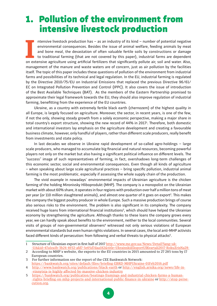## 1. Pollution of the environment from intensive livestock production

II
I
I
I
I
ntensive livestock production has – as an industry of its kind – number of potential negative<br>
environmental consequences. Besides the issue of animal welfare, feeding animals by meat<br>
and bone meal, the devasta ntensive livestock production has – as an industry of its kind – number of potential negative environmental consequences. Besides the issue of animal welfare, feeding animals by meat and bone meal, the devastation of often valuable fertile soils by constructions or damage to traditional farming (that are not covered by this paper), industrial farms are dependent management of the manure and waste waters are of concern, just as air pollution by the facilities itself. The topic of this paper includes these questions of pollution of the environment from industrial farms and possibilities of its technical and legal regulation. In the EU, industrial farming is regulated by the Directive 2010/75/EU on Industrial Emissions that replaced the previous Directive 96/61/ EC on Integrated Pollution Prevention and Control (IPPC). It also covers the issue of introduction of the Best Available Techniques (BAT). As the members of the Eastern Partnership promised to approximate their legal framework towards the EU, they should also improve regulation of industrial farming, benefitting from the experience of the EU countries.

Ukraine, as a country with extremely fertile black earth (chernozem) of the highest quality in all Europe, is largely focused on agriculture. Moreover, the sector, in recent years, is one of the few, if not the only, showing steady growth from a solely economic perspective, making a major share in total country's export structure, showing the new record of 44% in 2017<sup>1</sup> . Therefore, both domestic and international investors lay emphasis on the agriculture development and creating a favourable business climate, however, only handful of players, rather than different scale producers, really benefit from investments and state policy.

In last decades we observe in Ukraine rapid development of so-called agro-holdings – large scale producers, who managed to accumulate big financial and natural resources, becoming powerful players not only on the market but also having a significant political influence on different levels. The "success" image of such representatives of farming, in fact, overshadows long-term challenges of this economic sector, social and environmental consequences. Even though all kinds of agriculture – when speaking about large scale agricultural practices – bring specific pollution, industrial animal farming is the most problematic, especially if assessing the whole supply chain of the production.

The vivid example in nowadays´ environmental impacts of Ukrainian agriculture is the chicken farming of the holding Mironivsky Hliboprodukt (MHP). The company is a monopolist on the Ukrainian market with about 60% share, it operates in four regions with production over half a million tons of meat per year (or 110 million slaughtered animals), and almost one quarter of it goes on export<sup>2</sup>. This makes the company the biggest poultry producer in whole Europe. Such a massive production brings of course also serious risks to the environment. The problem is also significant in its complexity. The company received huge loans from international financial institutions<sup>3</sup>, which should have helped the Ukrainian economy by strengthening the agriculture. Although thanks to these loans the company grows every year, we can hardly speak about benefits to the environment, neither to the local communities. Several visits of groups of non-governmental observers<sup>4</sup> witnessed not only serious violations of European environmental standards but even human rights violations. In several cases, the local anti-MHP activists faced different kinds of persecution: from following and verbal threats to physical attacks<sup>5</sup>.

<sup>1</sup> Structure of Ukrainian export in first half of 2017 http://www.me.gov.ua/News/Detail?lang=uk--UA&id=47a1ea1b-3b24-4932-afd7-5e05d7daa182&title=UkrainskiiEksportUIKvartali2017-RokuZrisNa28-

<sup>2</sup> According to MHP´s website, the exports to the EU countries in 2015 amounted to 27 285 tons by 17 European countries.

<sup>3</sup> For further information see the report of the CEE Bankwatch Network: https://bankwatch.org/sites/default/files/briefing-EBRD-MHPUkraine-01Feb2016.pdf

<sup>4</sup> http://www.bankwatch.org/publications/black-earth or http://english.arnika.org/news/life-in- -vinnytsia-is-highly-affected-by-massive-chicken-industry

<sup>5</sup> https://bankwatch.org/publication/beatings-framings-and-industrial-chicken-farms-a-human- -rights-briefing-on-mhp-projects-and-international-public-finance-in-ukraine or http://stop-persecution.org.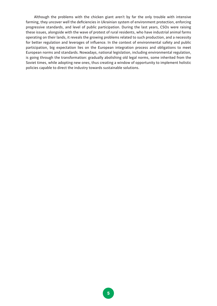Although the problems with the chicken giant aren't by far the only trouble with intensive farming, they uncover well the deficiencies in Ukrainian system of environment protection, enforcing progressive standards, and level of public participation. During the last years, CSOs were raising these issues, alongside with the wave of protest of rural residents, who have industrial animal farms operating on their lands, it reveals the growing problems related to such production, and a necessity for better regulation and leverages of influence. In the context of environmental safety and public participation, big expectation lies on the European integration process and obligations to meet European norms and standards. Nowadays, national legislation, including environmental regulation, is going through the transformation: gradually abolishing old legal norms, some inherited from the Soviet times, while adopting new ones, thus creating a window of opportunity to implement holistic policies capable to direct the industry towards sustainable solutions.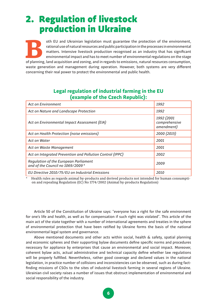## 2. Regulation of livestock production in Ukraine

of the EU and Ukrainian legislation must guarantee the protection of the environment, rational use of natural resources and public participation in the processes in environmental matters. Intensive livestock production rec rational use of natural resources and public participation in the processes in environmental matters. Intensive livestock production recognised as an industry that has significant environmental impact and has to meet number of environmental regulations on the stage waste generation and management during operation. However, both systems are very different concerning their real power to protect the environmental and public health.

| <b>Act on Environment</b>                                                 | 1992                                      |  |
|---------------------------------------------------------------------------|-------------------------------------------|--|
| Act on Nature and Landscape Protection                                    | 1992                                      |  |
| Act on Environmental Impact Assessment (EIA)                              | 1992 (2001<br>comprehensive<br>amendment) |  |
| Act on Health Protection (noise emissions)                                | 2000 (2015)                               |  |
| <b>Act on Water</b>                                                       | 2001                                      |  |
| Act on Waste Management                                                   | 2001                                      |  |
| Act on Integrated Prevention and Pollution Control (IPPC)                 | 2002                                      |  |
| Regulation of the European Parliament<br>and of the Council no 1069/2009* | 2009                                      |  |
| EU Directive 2010/75/EU on Industrial Emissions                           | 2010                                      |  |

#### **Legal regulation of industrial farming in the EU (example of the Czech Republic):**

\* Health rules as regards animal by-products and derived products not intended for human consumption and repealing Regulation (EC) No 1774/2002 (Animal by-products Regulation)

Article 50 of the Сonstitution of Ukraine says: "everyone has a right for the safe environment for one's life and health, as well as for compensation if such right was violated". This article of the main act of the state together with a number of international agreements and treaties in the sphere of environmental protection that have been ratified by Ukraine forms the basis of the national environmental legal system and governance.

Above mentioned documents and other acts within social, health & safety, spatial planning and economic spheres and their supporting bylaw documents define specific norms and procedures necessary for appliance by enterprises that cause an environmental and social impact. Moreover, coherent bylaw acts, actual administrative and technical capacity define whether law regulations will be properly fulfilled. Nevertheless, rather good coverage and declared values in the national legislation, in practice number of collisions and inconsistencies can be observed, such as during factfinding missions of CSOs to the sites of industrial livestock farming in several regions of Ukraine. Ukrainian civil society raises a number of issues that obstruct implementation of environmental and social responsibility of the industry.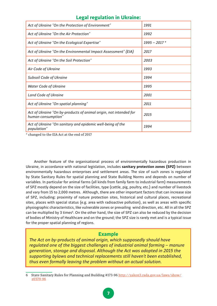#### **Legal regulation in Ukraine:**

| Act of Ukraine "On the Protection of Environment"                                       | 1991           |
|-----------------------------------------------------------------------------------------|----------------|
| Act of Ukraine "On the Air Protection"                                                  | 1992           |
| Act of Ukraine "On the Ecological Expertise"                                            | $1995 - 2017*$ |
| Act of Ukraine "On the Environmental Impact Assessment" (EIA)                           | 2017           |
| Act of Ukraine "On the Soil Protection"                                                 | 2003           |
| Air Code of Ukraine                                                                     | 1993           |
| <b>Subsoil Code of Ukraine</b>                                                          | 1994           |
| <b>Water Code of Ukraine</b>                                                            | 1995           |
| Land Code of Ukraine                                                                    | 2001           |
| Act of Ukraine "On spatial planning"                                                    | 2011           |
| Act of Ukraine "On by-products of animal origin, not intended for<br>human consumption" | 2015           |
| Act of Ukraine "On sanitary and epidemic well-being of the<br>population"               | 1994           |

\* changed to the EIA Act at the end of 2017

Another feature of the organisational process of environmentally hazardous production in Ukraine, in accordance with national legislation, includes **sanitary protection zones (SPZ)** between environmentally hazardous enterprises and settlement areas. The size of such zones is regulated by State Sanitary Rules for spatial planning and State Building Norms and depends on number of variables. In particular for animal farms (all kinds from family farm to industrial farm) measurements of SPZ mostly depend on the size of facilities, type (cattle, pig, poultry, etc.) and number of livestock and vary from 15 to 2,000 metres. Although, there are other important factors that can increase size of SPZ, including: proximity of nature protection sites, historical and cultural places, recreational sites, places with special status (e.g. area with radioactive pollution), as well as areas with specific physiographic characteristics, like vulnerable zones or prevailing wind direction, etc. All in all the SPZ can be multiplied by 3 times<sup>6</sup>. On the other hand, the size of SPZ can also be reduced by the decision of bodies of Ministry of Healthcare and on the ground; the SPZ size is rarely met and is a typical issue for the proper spatial planning of regions.

#### **Example**

*The Act on by-products of animal origin, which supposedly should have regulated one of the biggest challenges of industrial animal farming − manure generation, storage and disposal. Although the Act was adopted in 2015 the supporting bylaws and technical replacements still haven't been established, thus even formally leaving the problem without an actual solution.*

<sup>6</sup> State Sanitary Rules for Planning and Building #173-96 http://zakon3.rada.gov.ua/laws/show/ z0379-96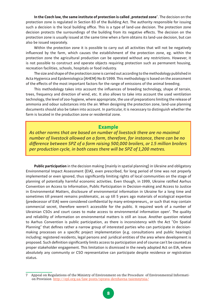In the Czech law, the same institute of protection is called "protected zone". The decision on the protection zone is regulated in Section 83 of the Building Act. The authority responsible for issuing such a decision is the local building office. This is a type of land-use decision. The protection zone decision protects the surroundings of the building from its negative effects. The decision on the protection zone is usually issued at the same time when a farm obtains its land-use decision, but can also be issued separately.

Within the protection zone it is possible to carry out all activities that will not be negatively influenced by the farm, which causes the establishment of the protection zone, eg. within the protection zone the agricultural production can be operated without any restrictions. However, it is not possible to construct and operate objects requiring protection such as permanent housing, recreation facilities, schools, hospitals or food industry.

The size and shape of the protection zone is carried out according to the methodology published in Acta Hygienica and Epidemiologica (AHEM) No 8/1999. This methodology is based on the assessment of the effects of the most important factors for the range of emissions of the animal breeding.

This methodology takes into account the influences of breeding technology, shape of terrain, trees, frequency and direction of wind, etc. It also allows to take into account the used ventilation technology, the level of zoo-hygiene, where appropriate, the use of preparations limiting the release of ammonia and odour substances into the air. When designing the protection zone, land-use planning documents should also be taken into account. In particular, it is necessary to distinguish whether the farm is located in the production zone or residential zone.

#### **Example**

*As other norms that are based on number of livestock there are no maximal number of livestock allowed on a farm, therefore, for instance, there can be no difference between SPZ of a farm raising 500,000 broilers, or 1.5 million broilers per production cycle, in both cases there will be SPZ of 1,200 metres.* 

**Public participation** in the decision making (mainly in spatial planning) in Ukraine and obligatory Environmental Impact Assessment (EIA), even prescribed, for long period of time was not properly implemented or even ignored, thus significantly limiting rights of local communities on the stage of planning of potentially harmful economic activities. Even though, in 1999, Ukraine ratified Aarhus Convention on Access to Information, Public Participation in Decision-making and Access to Justice in Environmental Matters, disclosure of environmental information in Ukraine for a long time and sometimes till present remains problematic, as up till 5 years ago materials of ecological expertise (predecessor of EIA) were considered confidential by many entrepreneurs,, or such that may contain commercial secret, therefore weren't accessible for the public. It required work of a number of Ukrainian CSOs and court cases to make access to environmental information open7 . The quality and reliability of information on environmental matters is still an issue. Another question related to Aarhus Convention is public participation, as there is inconsistency with the Act "On Spatial Planning" that defines rather a narrow group of interested parties who can participate in decisionmaking processes on a specific project implementation (e.g. consultations and public hearings) including: registered residents, legal persons and juridical entities of the area where development is proposed. Such definition significantly limits access to participation and of course can't be counted as proper stakeholder engagement. This limitation is dismissed in the newly adopted Act on EIA, where absolutely any community or CSO representative can participate despite residence or registration status.

Appeal on Regulations of the Ministry of Environment on the Procedure of Environmental Information Provision http://epl.org.ua/law-posts/sprava-derzhavna-taiemnytsia/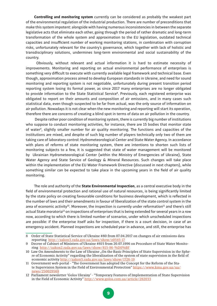**Controlling and monitoring system** currently can be considered as probably the weakest part of the environmental regulation of the industrial production. There are number of preconditions that make this system impotent: alongside with having numerous inconsistencies in between the separate legislative acts that eliminate each other, going through the period of rather dramatic and long-term transformation of the whole system and approximation to the EU legislation, outdated technical capacities and insufficient number of working monitoring stations, in combination with corruption risks, unfortunately relevant for the country's governance, which together with lack of holistic and transdisciplinary solutions, undermines long-term environmental and social sustainability of the country.

 Obviously, without relevant and actual information it is hard to estimate necessity of improvements. Monitoring and reporting on actual environmental performance of enterprises is something very difficult to execute with currently available legal framework and technical base. Even though, approximation process aimed to develop European standards in Ukraine, and need for sound monitoring and reporting system is not negotiable, unfortunately during present transition period reporting system losing its formal power, as since 2017 many enterprises are no longer obligated to provide information to the State Statistical Service<sup>8</sup>. Previously, each registered enterprise was obligated to report on their amounts and composition of air emissions, and in many cases such statistical data, even though suspected to be far from actual, was the only source of information on air pollution. Nowadays it is not clear when the new monitoring and reporting will start its operation, therefore there are concerns of creating a blind spot in terms of data on air pollution in the country.

 Despite rather poor condition of monitoring system, there is currently big number of institutions who suppose to conduct monitoring activities, for instance, there are 15 bodies that monitor state of water9, slightly smaller number for air quality monitoring. The functions and capacities of the institutions are mixed, and despite of such big number of players technically only two of them are taking care of laboratory control: Hydrometeorological Center and State Water Agency. In accordance with plans of reforms of state monitoring system, there are intentions to shorten such lists of monitoring subjects to a few, it is suggested that state of water management will be monitored by Ukrainian Hydrometeorological Center (within the Ministry of Emergencies of Ukraine), State Water Agency and State Service of Geology & Mineral Resources. Such changes will take place within the implementation of the EU Water Framework Directive (discussed in next chapters), while something similar can be expected to take place in the upcoming years in the field of air quality monitoring.

The role and authority of the **State Environmental Inspection**, as a central executive body in the field of environmental protection and rational use of natural resources, is being significantly limited by the state policy on creating favourable conditions for business development, which is reflected in the number of laws and their amendments in favour of liberalization of the state control system in the area of economic activity<sup>10</sup>. Moreover, the inspection is currently under reformation<sup>11</sup> and there's still actual State moratoria<sup>12</sup> on inspections of enterprises that is being extended for several years in a row now, according to which there is limited number of scenarios, under which unscheduled inspections are possible: if the enterprise itself asks for inspection, if there is a court decision, in case of an emergency accident. Planned inspections are scheduled year in advance, and still, the enterprise has

<sup>8</sup> Order of State Statistical Service of Ukraine #80 from 07.04.2017 on changes of air emissions data reporting http://zakon3.rada.gov.ua/laws/show/z0545-17

<sup>9</sup> Decree of Cabinet of Ministers of Ukraine #815 from 20.07.1996 on Procedure of State Water Monitoring http://zakon2.rada.gov.ua/laws/show/815-96-%D0%BF

<sup>10</sup> Law On Amendments to the Law of Ukraine "On the Basic Principles of State Supervision in the Sphere of Economic Activity" regarding the liberalization of the system of state supervision in the field of economic activity http://zakon5.rada.gov.ua/laws/show/1726-19

<sup>11</sup> Government web-portal - "The Government has adopted the Concept for the Reform of the State Supervision System in the Field of Environmental Protection" https://www.kmu.gov.ua/ua/ news/250029569

<sup>12</sup> Parliament newsletter 'Golos Ukrainy' - "Temporary Features of Implementation of State Supervision in the Field of Economic Activity" http://www.golos.com.ua/article/282033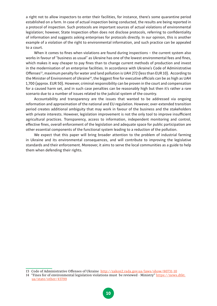a right not to allow inspectors to enter their facilities, for instance, there's some quarantine period established on a farm. In case of actual inspection being conducted, the results are being reported in a protocol of inspection. Such protocols are important sources of actual violations of environmental legislation; however, State Inspection often does not disclose protocols, referring to confidentiality of information and suggests asking enterprises for protocols directly. In our opinion, this is another example of a violation of the right to environmental information, and such practice can be appealed to a court.

When it comes to fines when violations are found during inspections – the current system also works in favour of "business as usual" as Ukraine has one of the lowest environmental fees and fines, which makes it way cheaper to pay fines than to change current methods of production and invest in the modernisation of an enterprise facilities. In accordance with Ukraine's Code of Administrative Offenses<sup>13</sup>, maximum penalty for water and land pollution is UAH 272 (less than EUR 10). According to the Minister of Environment of Ukraine<sup>14</sup>, the biggest fine for executive officials can be as high as UAH 1,700 (approx. EUR 50). However, criminal responsibility can be proven in the court and compensation for a caused harm set, and in such case penalties can be reasonably high but then it's rather a rare scenario due to a number of issues related to the judicial system of the country.

Accountability and transparency are the issues that wanted to be addressed via ongoing reformation and approximation of the national and EU regulation. However, over-extended transition period creates additional ambiguity that may work in favour of the business and the stakeholders with private interests. However, legislation improvement is not the only tool to improve insufficient agricultural practices. Transparency, access to information, independent monitoring and control, effective fines, overall enforcement of the legislation and adequate space for public participation are other essential components of the functional system leading to a reduction of the pollution.

We expect that this paper will bring broader attention to the problem of industrial farming in Ukraine and its environmental consequences, and will contribute to improving the legislative standards and their enforcement. Moreover, it aims to serve the local communities as a guide to help them when defending their rights.

13 Code of Administrative Offenses of Ukraine http://zakon2.rada.gov.ua/laws/show/80731-10

<sup>14 &</sup>quot;Fines for of environmental legislation violations must be reviewed - Ministry" https://news.dtkt. ua/state/other/43799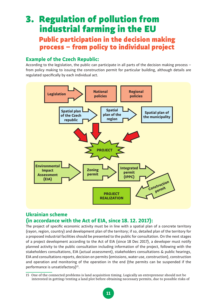### 3. Regulation of pollution from industrial farming in the EU Public participation in the decision making process – from policy to individual project

#### **Example of the Czech Republic:**

According to the legislation, the public can participate in all parts of the decision making process – from policy making to issuing the construction permit for particular building, although details are regulated specifically by each individual act.



#### **Ukrainian scheme (in accordance with the Act of EIA, since 18. 12. 2017):**

The project of specific economic activity must be in line with a spatial plan of a concrete territory (rayon, region, country) and development plan of the territory; if so, detailed plan of the territory for a proposed industrial facilities should be presented to the public for consultation. On the next stages of a project development according to the Act of EIA (since 18 Dec 2017), a developer must notify planned activity to the public consultation including information of the project, following with the stakeholders consultations, EIA (actual assessment), stakeholders consultations & public hearings, EIA and consultations reports, decision on permits (emissions, water use, construction), construction and operation and monitoring of the operation in the end (the permits can be suspended if the performance is unsatisfactory)<sup>15</sup>.

<sup>15</sup> One of the connected problems is land acquisition timing. Logically an entrepreneur should not be interested in getting/renting a land plot before obtaining necessary permits, due to possible risks of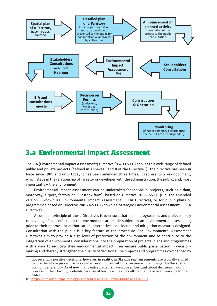

### 3.a Environmental Impact Assessment

The EIA (Environmental Impact Assessment) Directive (85/337/EU) applies to a wide range of defined public and private projects (defined in Annexes I and II of the Directive<sup>16</sup>). The directive has been in force since 1985 and until today it has been amended three times. It represents a key document, which steps in the relationship of investor or developer with the administration, the public, and, most importantly − the environment.

Environmental impact assessment can be undertaken for individual projects, such as a dam, motorway, airport, factory or livestock farm), based on Directive 2011/92/EU (i. e. the amended version − known as 'Environmental Impact Assessment' – EIA Directive), or for public plans or programmes based on Directive 2001/42/EC (known as 'Strategic Environmental Assessment' – SEA Directive).

A common principle of these Directives is to ensure that plans, programmes and projects likely to have significant effects on the environment are made subject to an environmental assessment, prior to their approval or authorisation, alternatives considered and mitigation measures designed. Consultation with the public is a key feature of the procedure. The Environmental Assessment Directives aim to provide a high level of protection of the environment and to contribute to the integration of environmental considerations into the preparation of projects, plans and programmes with a view to reducing their environmental impact. They ensure public participation in decisionmaking and thereby strengthen the quality of decisions. The projects and programmes co-financed by

not receiving positive decisions, however, in reality, in Ukraine rent agreements are typically signed before the whole procedure has started, even if planned construction isn't envisaged by the spatial plan of the territory. As of now many entrepreneurs haven't been hesitant about decision-making process in their favour, probably because of business making culture that have been working for decades.

<sup>16</sup> http://eur-lex.europa.eu/legal-content/EN/TXT/?uri=CELEX:32009L0031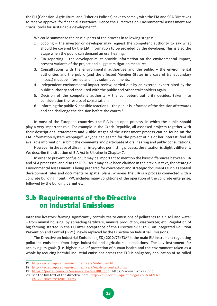the EU (Cohesion, Agricultural and Fisheries Policies) have to comply with the EIA and SEA Directives to receive approval for financial assistance. Hence the Directives on Environmental Assessment are crucial tools for sustainable development<sup>17</sup>.

We could summarize the crucial parts of the process in following stages:

- 1. Scoping − the investor or developer may request the competent authority to say what should be covered by the EIA information to be provided by the developer. This is also the stage when the public can demand an oral hearing.
- 2. EIA reporting − the developer must provide information on the environmental impact, present variants of the project and suggest mitigation measures.
- 3. Consultations with the environmental authorities and the public − the environmental authorities and the public (and the affected Member States in a case of transboundary impact) must be informed and may submit comments.
- 4. Independent environmental impact review, carried out by an external expert hired by the public authority and consulted with the public and other stakeholders again.
- 5. Decision of the competent authority − the competent authority decides, taken into consideration the results of consultations.
- 6. Informing the public & possible reactions − the public is informed of the decision afterwards and can challenge the decision before the courts<sup>18</sup>.

In most of the European countries, the EIA is an open process, in which the public should play a very important role. For example in the Czech Republic, all assessed projects together with their descriptions, statements and visible stages of the assessment process can be found on the EIA information system webpage<sup>19</sup>. Anyone can search for the project of his or her interest, find all available information, submit the comments and participate at oral hearing and public consultations.

However, in the case of Ukrainian integrated permitting process, the situation is slightly different. We describe the situation of EIA Act in Ukraine in Chapter 7.

In order to prevent confusion, it may be important to mention the basic differences between EIA and SEA processes, and also the IPPC. As it may have been clarified in the previous text, the Strategic Environmental Assessment is being prepared for conception and strategic documents such as spatial development rules and documents or spatial plans, whereas the EIA is a process connected with a concrete building intent. IPPC includes many conditions of the operation of the concrete enterprise, followed by the building permit etc.

### 3.b Requirements of the Directive on Industrial Emissions

Intensive livestock farming significantly contributes to emissions of pollutants to air, soil and water − from animal housing, by spreading fertilizers, manure production, wastewater, etc. Regulation of big farming started in the EU after acceptance of the Directive 96/61/EC on Integrated Pollution Prevention and Control (IPPC), newly replaced by the Directive on Industrial Emissions.

The Directive on Industrial Emissions (IED) 2010/75/EU<sup>20</sup> is the main EU instrument regulating pollutant emissions from large industrial and agricultural installations. The key instrument for achieving its goals (i. e. higher level of protection of human health and the environment taken as a whole by reducing harmful industrial emissions across the EU) is obligatory application of so-called

<sup>17</sup> http://ec.europa.eu/environment/eia/index\_en.htm

<sup>18</sup> http://ec.europa.eu/environment/eia/eia-legalcontext.htm

<sup>19</sup> https://portal.cenia.cz/eiasea/view/eia100\_cr or https://www.mzp.cz/ippc

<sup>20</sup> see the full text of the directive here: http://eur-lex.europa.eu/legal-content/EN/ TXT/?uri=celex:32010L0075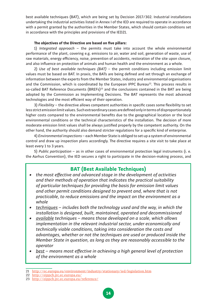best available techniques (BAT), which are being set by Decision 2017/302. Industrial installations undertaking the industrial activities listed in Annex I of the IED are required to operate in accordance with a permit granted by the authorities in the Member States, which should contain conditions set in accordance with the principles and provisions of the IED21.

#### **The objectives of the Directive are based on five pillars:**

1) *Integrated approach* – the permits must take into account the whole environmental performance of the plant, covering e.g. emissions to air, water and soil, generation of waste, use of raw materials, energy efficiency, noise, prevention of accidents, restoration of the site upon closure, and also influence on protection of animals and human health and the environment as a whole.

2) *Use of best available techniques (BAT)* − the permit conditions including emission limit values must be based on BAT. In praxis, the BATs are being defined and set through an exchange of information between the experts from the Member States, industry and environmental organisations and the Commission, which is coordinated by the European IPPC Bureau<sup>22</sup>. This process results in so-called BAT Reference Documents (BREFs)<sup>23</sup> and the conclusions contained in the BAT are being adopted by the Commission as Implementing Decisions. The BAT represents the most advanced technologies and the most efficient way of their operation.

3) *Flexibility* – the directive allows competent authorities in specific cases some flexibility to set less strict emission limit values. Such extraordinary cases are defined only in terms of disproportionately higher costs compared to the environmental benefits due to the geographical location or the local environmental conditions or the technical characteristics of the installation. The decision of more moderate emission limit values shall be always justified properly by the competent authority. On the other hand, the authority should also demand stricter regulations for a specific kind of enterprise.

4) *Environmental inspections* – each Member State is obliged to set up a system of environmental control and draw up inspection plans accordingly. The directive requires a site visit to take place at least every 1 to 3 years.

5) *Public participation* – as in other cases of environmental protection legal instruments (i. e. the Aarhus Convention), the IED secures a right to participate in the decision-making process, and

#### **BAT (Best Available Techniques)**

- *• the most effective and advanced stage in the development of activities and their methods of operation that indicates the practical suitability of particular techniques for providing the basis for emission limit values and other permit conditions designed to prevent and, where that is not practicable, to reduce emissions and the impact on the environment as a whole*
- *• techniques* − *includes both the technology used and the way, in which the installation is designed, built, maintained, operated and decommissioned*
- *• available techniques* − *means those developed on a scale, which allows implementation in the relevant industrial sector, under economically and technically viable conditions, taking into consideration the costs and advantages, whether or not the techniques are used or produced inside the Member State in question, as long as they are reasonably accessible to the operator*
- *• best* − *means most effective in achieving a high general level of protection of the environment as a whole*

22 http://eippcb.jrc.ec.europa.eu/

<sup>21</sup> http://ec.europa.eu/environment/industry/stationary/ied/legislation.htm

<sup>23</sup> http://eippcb.jrc.ec.europa.eu/reference/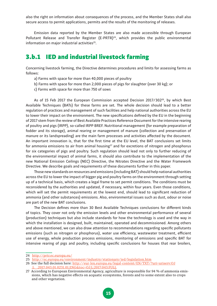also the right on information about consequences of the process, and the Member States shall also secure access to permit applications, permits and the results of the monitoring of releases.

Emission data reported by the Member States are also made accessible through European Pollutant Release and Transfer Register (E-PRTR)<sup>24</sup>, which provides the public environmental information on major industrial activities<sup>25</sup>.

### 3.b.1 IED and industrial livestock farming

Concerning livestock farming, the Directive determines procedures and limits for assessing farms as follows:

- a) Farms with space for more than 40,000 pieces of poultry
- b) Farms with space for more than 2,000 pieces of pigs for slaughter (over 30 kg); or
- c) Farms with space for more than 750 of sows

As of 15 Feb 2017 the European Commission accepted Decision 2017/302 $^{26}$ , by which Best Available Techniques (BATs) for these farms are set. The whole decision should lead to a better regulation of practices and management of such facilities and help national authorities across the EU to lower their impact on the environment. The new specifications defined by the EU in the beginning of 2017 stem from the review of Best Available Practices Reference Document for the intensive rearing of poultry and pigs (IRPP), so-called IRPP BREF. Nutritional management (for example preparation of fodder and its storage), animal rearing or management of manure (collection and preservation of manure or its landspreading) are the main farm processes and activities affected by the document. An important innovation is, that for the first time at the EU level, the BAT conclusions set limits for ammonia emissions to air from animal housing $27$  and for excretions of nitrogen and phosphorus for six categories of pigs and poultry. Such regulation should lead not only to further reducing of the environmental impact of animal farms, it should also contribute to the implementation of the new National Emission Ceilings (NEC) Directive, the Nitrates Directive and the Water Framework Directive. We describe goals and requirements of these documents further in this paper.

Those new standards on resources and emissions (including BAT) should help national authorities across the EU to lower the impact of bigger pig and poultry farms on the environment through setting up of a technical basis, which creates a legal frame to set permit conditions. The conditions must be reconsidered by the authorities and updated, if necessary, within four years. Even those conditions, which will set the permit requirements at the lowest end, should lead to significant reduction of ammonia (and other substances) emissions. Also, environmental issues such as dust, odour or noise are part of the new BAT conclusions.

The Decision defines more than 30 Best Available Techniques conclusions for different kinds of topics. They cover not only the emission levels and other environmental performance of several (production) techniques but also include standards for how the technology is used and the way in which the installation is designed, built, maintained, operated and decommissioned. Among others and above mentioned, we can also draw attention to recommendations regarding specific pollutants emissions (such as nitrogen or phosphorus), water use efficiency, wastewater treatment, efficient use of energy, whole production process emissions, monitoring of emissions and specific BAT for intensive rearing of pigs and poultry, including specific conclusions for houses that rear broilers,

<sup>24</sup> http://prtr.ec.europa.eu/

<sup>25</sup> http://ec.europa.eu/environment/industry/stationary/ied/legislation.htm

<sup>26</sup> See the full decision here: http://eur-lex.europa.eu/legal-content/EN/TXT/?uri=uriserv:OJ .L\_.2017.043.01.0231.01.ENG&toc=OJ:L:2017:043:FULL

<sup>27</sup> According to European Environmental Agency, agriculture is responsible for 94 % of ammonia emissions, which has negative effects on acquatic ecosystems, forests and to some extent also to crops and other vegetation.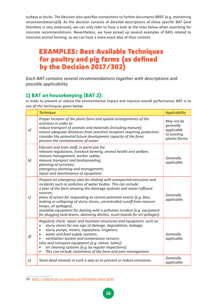turkeys or ducks. The Decision also specifies connections to further documents BREF (e.g. monitoring recommendations)28. As the decision consists of detailed descriptions of these specific BAT (and therefore is very extensive), we can only refer to have a look at the links below when searching for concrete recommendations. Nevertheless, we have picked up several examples of BATs related to intensive animal farming, so we can have a more exact idea of their content.

### EXAMPLES: Best Available Techniques for poultry and pig farms (as defined by the Decision 2017/302)

*Each BAT contains several recommendations together with descriptions and possible applicability.*

### **1) BAT on housekeeping (BAT 2):**

In order to prevent or reduce the environmental impact and improve overall performance, BAT is to use all the techniques given below.

|                | <b>Technique</b>                                                                                                                                                                                                                                                                                                                                                                                                                                                                                                                                                   | <b>Applicability</b>                                                  |
|----------------|--------------------------------------------------------------------------------------------------------------------------------------------------------------------------------------------------------------------------------------------------------------------------------------------------------------------------------------------------------------------------------------------------------------------------------------------------------------------------------------------------------------------------------------------------------------------|-----------------------------------------------------------------------|
| a)             | Proper location of the plant/farm and spatial arrangements of the<br>activities in order to:<br>reduce transport of animals and materials (including manure);<br>ensure adequate distances from sensitive receptors requiring protection;<br>consider the potential future development capacity of the farm;<br>prevent the contamination of water.                                                                                                                                                                                                                | May not be<br>generally<br>applicable<br>to existing<br>plants/farms. |
| b)             | Educate and train staff, in particular for:<br>relevant regulations, livestock farming, animal health and welfare,<br>manure management, worker safety;<br>manure transport and landspreading;<br>planning of activities;<br>emergency planning and management;<br>repair and maintenance of equipment.                                                                                                                                                                                                                                                            | Generally<br>applicable.                                              |
| c)             | Prepare an emergency plan for dealing with unexpected emissions and<br>incidents such as pollution of water bodies. This can include:<br>a plan of the farm showing the drainage systems and water/effluent<br>sources;<br>plans of action for responding to certain potential events (e.g. fires,<br>leaking or collapsing of slurry stores, uncontrolled runoff from manure<br>heaps, oil spillages);<br>available equipment for dealing with a pollution incident (e.g. equipment<br>for plugging land drains, damming ditches, scum boards for oil spillages). | Generally<br>applicable.                                              |
| $\overline{d}$ | Regularly check, repair and maintain structures and equipment, such as:<br>slurry stores for any sign of damage, degradation, leakage;<br>slurry pumps, mixers, separators, irrigators;<br>$\bullet$<br>water and feed supply systems;<br>ventilation system and temperature sensors;<br>silos and transport equipment (e.g. valves, tubes);<br>air cleaning systems (e.g. by regular inspections).<br>$\bullet$<br>This can include cleanliness of the farm and pest management.<br>$\bullet$                                                                     | Generally<br>applicable.                                              |
| e)             | Store dead animals in such a way as to prevent or reduce emissions.                                                                                                                                                                                                                                                                                                                                                                                                                                                                                                | Generally<br>applicable.                                              |

<sup>28</sup> http://eippcb.jrc.ec.europa.eu/reference/mon.html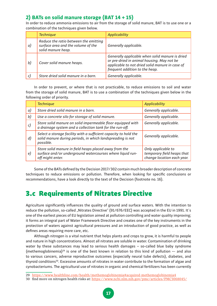### **2) BATs on solid manure storage (BAT 14 + 15)**

In order to reduce ammonia emissions to air from the storage of solid manure, BAT is to use one or a combination of the techniques given below.

|    | <b>Technique</b>                                                                                  | Applicability                                                                                                                                                                      |
|----|---------------------------------------------------------------------------------------------------|------------------------------------------------------------------------------------------------------------------------------------------------------------------------------------|
| a) | Reduce the ratio between the emitting<br>surface area and the volume of the<br>solid manure heap. | Generally applicable.                                                                                                                                                              |
| b) | Cover solid manure heaps.                                                                         | Generally applicable when solid manure is dried<br>or pre-dried in animal housing. May not be<br>applicable to not dried solid manure in case of<br>frequent addition to the heap. |
|    | Store dried solid manure in a barn.                                                               | Generally applicable.                                                                                                                                                              |

In order to prevent, or where that is not practicable, to reduce emissions to soil and water from the storage of solid manure, BAT is to use a combination of the techniques given below in the following order of priority.

|                    | <b>Technique</b>                                                                                                                            | <b>Applicability</b>                                                           |
|--------------------|---------------------------------------------------------------------------------------------------------------------------------------------|--------------------------------------------------------------------------------|
| a)                 | Store dried solid manure in a barn.                                                                                                         | Generally applicable.                                                          |
| b)                 | Use a concrete silo for storage of solid manure.                                                                                            | Generally applicable.                                                          |
| c)                 | Store solid manure on solid impermeable floor equipped with<br>a drainage system and a collection tank for the run-off.                     | Generally applicable.                                                          |
| $\left( d \right)$ | Select a storage facility with a sufficient capacity to hold the<br>solid manure during periods, in which landspreading is not<br>possible. | Generally applicable.                                                          |
| e)                 | Store solid manure in field heaps placed away from the<br>surface and/or underground watercourses where liquid run-<br>off might enter.     | Only applicable to<br>temporary field heaps that<br>change location each year. |

Some of the BATs defined by the Decision 2017/302 contain much broader description of concrete techniques to reduce emissions or pollution. Therefore, when looking for specific conclusions or recommendations, have a look directly to the text of the Decision (footnote no. 16).

### 3.c Requirements of Nitrates Directive

Agriculture significantly influences the quality of ground and surface waters. With the intention to reduce the pollution, so-called "Nitrates Directive" (91/676/EEC) was accepted in the EU in 1991. It's one of the earliest pieces of EU legislation aimed at pollution controlling and water quality improving; it forms an integral part of Water Framework Directive and creates one of the key instruments in the protection of waters against agricultural pressures and an introduction of good practice, as well as defines areas requiring more care, etc.

Although nitrogen is a vital nutrient that helps plants and crops to grow, it is harmful to people and nature in high concentrations. Almost all nitrates are soluble in water. Contamination of drinking water by these substances may lead to serious health damages − so-called blue baby syndrome (methemoglobinemia)<sup>29</sup> is one of the best known in relation to this kind of pollution −- and also to various cancers, adverse reproductive outcomes (especially neural tube defects), diabetes, and thyroid conditions<sup>30</sup>. Excessive amounts of nitrates in water contribute to the formation of algae and cynobacteriums. The agricultural use of nitrates in organic and chemical fertilizers has been currently

<sup>29</sup> https://www.healthline.com/health/methemoglobinemia#acquired-methemoglobinemia4

<sup>30</sup> find more on nitrogen health risks at: https://www.ncbi.nlm.nih.gov/pmc/articles/PMC3068045/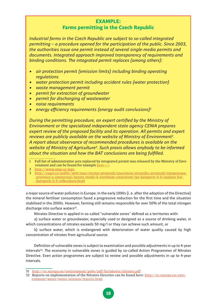#### **EXAMPLE: Farms permitting in the Czech Republic**

*Industrial farms in the Czech Republic are subject to so-called integrated permitting* − *a procedure opened for the participation of the public. Since 2003, the authorities issue one permit instead of several single-media permits and documents. Integrated approach improved transparency of requirements and binding conditions. The integrated permit replaces (among others):*

- *• air protection permit (emission limits) including binding operating regulations*
- *• water protection permit including accident rules (water protection)*
- *• waste management permit*
- *• permit for extraction of groundwater*
- *• permit for discharging of wastewater*
- *• noise requirements*
- *• energy efficiency requirements (energy audit conclusions)<sup>1</sup>*

*During the permitting procedure, an expert certified by the Ministry of Environment or the specialized independent state agency CENIA prepares expert review of the proposed facility and its operation. All permits and expert reviews are publicly available on the website of Ministry of Environment<sup>2</sup> . A report about observance of recommended procedures is available on the website of Ministry of Agriculture<sup>3</sup> . Such praxis allows anybody to be informed about the situation and how the BAT conclusions are being fulfilled.*

- 1 Full list of administrative acts replaced by integrated permit was released by the Ministry of Environment and can be found for example here>>>
- 2 http://www.mzp.cz/ippc
- 3 http://eagri.cz/public/web/mze/zivotni-prostredi/znecisteni-zivotniho-prostredi/integrovana- -prevence-a-omezovani/zpravy-studie-k-vyrobnim-cinnostem/tps-kategorie-6-6/analyza-bat- -kategorie-6-6-velkochovy.html

a major source of water pollution in Europe. In the early 1990s (i. e. after the adoption of the Directive) the mineral fertiliser consumption faced a progressive reduction for the first time and the situation stabilized in the 2000s. However, farming still remains responsible for over 50% of the total nitrogen discharge into surface waters<sup>31</sup>.

Nitrates Directive is applied in so-called "vulnerable zones" defined as a territories with:

a) surface water or groundwater, especially used or designed as a source of drinking water, in which concentrations of nitrates exceeds 50 mg/l or they can achieve such amount, or

b) surface water, which is endangered with deterioration of water quality caused by high concentration of nitrates from agricultural source.

Definition of vulnerable zones is subject to examination and possible adjustments in up to 4-year intervals<sup>32</sup>. The economy in vulnerable zones is guided by so-called Action Programmes of Nitrates Directive. Even action programmes are subject to review and possible adjustments in up to 4-year intervals.

<sup>31</sup> http://ec.europa.eu/environment/pubs/pdf/factsheets/nitrates.pdf

<sup>32</sup> Reports on implementation of the Nitrates Directive can be found here: http://ec.europa.eu/environment/water/water-nitrates/reports.html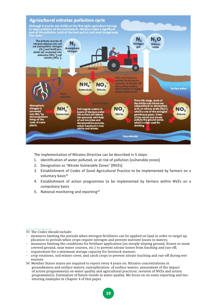

The implementation of Nitrates Directive can be described in 5 steps:

- 1. Identification of water polluted, or at risk of pollution (vulnerable zones)
- 2. Designation as "Nitrate Vulnerable Zones" (NVZs)
- 3. Establishment of Codes of Good Agricultural Practice to be implemented by farmers on a voluntary basis<sup>33</sup>
- 4. Establishment of action programmes to be implemented by farmers within NVZs on a compulsory basis
- 5. National monitoring and reporting<sup>34</sup>

– requirement for a minimum storage capacity for livestock manure;

<sup>33</sup> The Codes should include:

<sup>–</sup> measures limiting the periods when nitrogen fertilizers can be applied on land in order to target application to periods when crops require nitrogen and prevent nutrient losses to waters;

<sup>–</sup> measures limiting the conditions for fertilizer application (on steeply sloping ground, frozen or snow covered ground, near water courses, etc.) to prevent nitrate losses from leaching and run-off;

<sup>–</sup> crop rotations, soil winter cover, and catch crops to prevent nitrate leaching and run-off during wet seasons

<sup>34</sup> Member States states are required to report every 4 years on: Nitrates concentrations in groundwaters and surface waters; eutrophication of surface waters; assessment of the impact of action programme(s) on water quality and agricultural practices; revision of NVZs and action programme(s); Estimation of future trends in water quality. We focus on on some reporting and monitoring examples in Chapter 4 of this paper.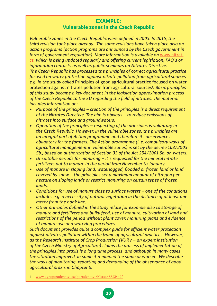#### **EXAMPLE: Vulnerable zones in the Czech Republic**

*Vulnerable zones in the Czech Republic were defined in 2003. In 2016, the third revision took place already. The same revisions have taken place also on action programs (action programs are announced by the Czech government in form of government regulation). More information is available on www.nitrat.* cz*, which is being updated regularly and offering current legislation, FAQ´s or information contacts as well as public seminars on Nitrates Directive. The Czech Republic has processed the principles of correct agricultural practice focused on water protection against nitrate pollution from agricultural sources e.g. in the study called* Principles of good agricultural practice focused on water protection against nitrates pollution from agricultural sources<sup>1</sup>. Basic principles *of this study became a key document in the legislation approximation process of the Czech Republic to the EU regarding the field of nitrates. The material includes information on:* 

- *• Purpose of the principles* − *creation of the principles is a direct requirement of the Nitrates Directive. The aim is obvious* − *to reduce emissions of nitrates into surface and groundwaters.*
- *• Operation of the principles* − *respecting of the principles is voluntary in the Czech Republic. However, in the vulnerable zones, the principles are an integral part of Action programme and therefore its observance is obligatory for the farmers. The Action programme (i. e. compulsory ways of agricultural management in vulnerable zones) is set by the decree 103/2003 Sb., based on authorization of Section 33 of the Act 254/2001 Sb. on waters.*
- *• Unsuitable periods for manuring* − *it´s requested for the mineral nitrate fertilizers not to manure in the period from November to January.*
- *• Use of manure in sloping land, waterlogged, flooded or frozen land or land covered by snow* − *the principles set a maximum amount of nitrogen per hectare on sloping lands or restrict manuring on certain types of frozen lands.*
- *• Conditions for use of manure close to surface waters* − *one of the conditions includes e.g. a necessity of natural vegetation in the distance of at least one meter from the bank line.*
- *• Other principles defined in the study relate for example also to storage of manure and fertilizers and bulky feed, use of manure, cultivation of land and restrictions of the period without plant cover, manuring plans and evidence of manure use and watering procedures.*

*Such document provides quite a complex guide for efficient water protection against nitrates pollution within the frame of agricultural practices. However, as the Research Institute of Crop Production (VURV* − *an expert institution of the Czech Ministry of Agriculture) claims the process of implementation of the principles into praxis is a long time process, and although in many cases the situation improved, in some it remained the same or worsen. We describe the ways of monitoring, reporting and demanding of the observance of good agricultural praxis in Chapter 5.*

www.agroporadenstvi.cz/poradenstvi/Nitrat/ZSZP.pdf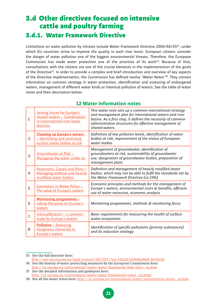### 3.d Other directives focused on intensive cattle and poultry farming 3.d.1. Water Framework Directive

Limitations on water pollution by nitrates include Water Framework Directive 2000/60/ES<sup>35</sup>, under which EU countries strive to improve the quality in each river basin. European citizens consider the danger of water pollution one of the biggest environmental threats. Therefore, the European Commission has made water protection one of the priorities of its work $36$ . Because of that, consultations with the citizens are one of the crucial elements in the implementation of the goals of the Directive<sup>37</sup>. In order to provide a complex and brief introduction and overview of key aspects of the Directive implementation, the Commission has defined twelve "Water Notes"<sup>38</sup>. They contain information on common strategy in water protection, identification and assessing of endangered waters, management of different water kinds or chemical pollution of waters. See the table of water notes and their description below:

| 1. | Joining forces for Europe's<br>shared waters - Coordination<br>in international river basin<br>districts | This water note sets up a common international strategy<br>and management plan for international waters and river<br>basins. As a first step, it defines the necessity of common<br>administrative structures for effective management of<br>shared waters. |
|----|----------------------------------------------------------------------------------------------------------|-------------------------------------------------------------------------------------------------------------------------------------------------------------------------------------------------------------------------------------------------------------|
| 2. | <b>Cleaning up Europe's waters</b><br>- Identifying and assessing<br>surface water bodies at risk        | Definition of low pollution levels, identification of water<br>bodies at risk, improvement of the status of European<br>water bodies                                                                                                                        |
| 3. | Groundwater at Risk -<br>Managing the water under us                                                     | Management of groundwater, identification of<br>groundwaters at risk, sustainability of groundwater<br>use, designation of groundwater bodies, preparation of<br>management plans                                                                           |
| 4. | Reservoirs, Canals and Ports -<br><b>Managing artificial and heavily</b><br>modified water bodies        | Definition and management of heavily modified water<br>bodies, which may not be able to fulfil the standards set by<br>the Water Framework Directive (ca 15%)                                                                                               |
| 5. | Economics in Water Policy -<br>The value of Europe's waters                                              | Economic principles and methods for the management of<br>Europe's waters, environmental costs & benefits, efficient<br>use of water resources, economic analysis                                                                                            |
| 6. | <u>Monitoring programmes -</u><br>taking the pulse on Europe's<br>waters                                 | Monitoring programmes, methods & monitoring focus                                                                                                                                                                                                           |
| 7. | Intercalibration - a common<br>scale for Europe's waters                                                 | Basic requirements for measuring the health of surface<br>water ecosystems                                                                                                                                                                                  |
| 8. | <b>Pollution - Reducing</b><br>dangerous chemicals in<br>Europe's waters                                 | Identification of specific pollutants (priority substances)<br>and its reduction strategy                                                                                                                                                                   |

#### **12 Water information notes**

<sup>35</sup> See the full directive here: http://eur-lex.europa.eu/legal-content/EN/TXT/?uri=CELEX:02000L0060-20141120 36 See the history of water protecting measures by the European Commission here:

http://ec.europa.eu/environment/water/water-framework/info/intro\_en.htm 37 See the detailed information and guidepost here:

http://ec.europa.eu/environment/water/water-framework/index\_en.html.

<sup>38</sup> See all the water notes here: http://ec.europa.eu/environment/water/participation/notes\_en.htm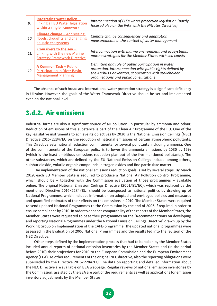| 9.  | Integrating water policy $-$<br>linking all EU Water legislation<br>within a single framework           | Interconnection of EU's water protection legislation (partly<br>focused also on the links with the Nitrates Directive)                                                                                             |
|-----|---------------------------------------------------------------------------------------------------------|--------------------------------------------------------------------------------------------------------------------------------------------------------------------------------------------------------------------|
| 10. | <b>Climate change - Addressing</b><br>floods, droughts and changing<br>aquatic ecosystems               | Climate change consequences and adaptation<br>measurements in the context of water management                                                                                                                      |
| 11. | From rivers to the sea $-$<br><b>Linking with the new Marine</b><br><b>Strategy Framework Directive</b> | Interconnection with marine environment and ecosystems,<br>marine strategies for the Member States with sea coasts                                                                                                 |
| 12. | <b>A Common Task - Public</b><br><b>Participation in River Basin</b><br><b>Management Planning</b>      | Definition and role of public participation in water<br>protection, interconnection with public rights defined by<br>the Aarhus Convention, cooperation with stakeholder<br>organisations and public consultations |

The absence of such broad and international water protection strategy is a significant deficiency in Ukraine. However, the goals of the Water Framework Directive should be set and implemented even on the national level.

#### 3.d.2. Air emissions

Industrial farms are also a significant source of air pollution, in particular by ammonia and odour. Reduction of emissions of this substance is part of the Clean Air Programme of the EU. One of the key legislative instruments to achieve its objectives by 2030 is the National Emission Ceilings (NEC) Directive 2016/2284/EU on the reduction of national emissions of certain atmospheric pollutants. This Directive sets national reduction commitments for several pollutants including ammonia. One of the commitments of the European policy is to lower the ammonia emissions by 2030 by 19% (which is the least ambitious emissions reduction plan out of the five mentioned pollutants). The other substances, which are defined by the EU National Emission Ceilings include, among others, sulphur dioxide, volatile organic compounds, nitrogen oxides and fine particulate matter.

The implementation of the national emissions reduction goals is set by several steps. By March 2019, each EU Member State is required to produce a National Air Pollution Control Programme, which should be − together with the Commission evaluation of those programmes − available online. The original National Emission Ceilings Directive (2001/81/EC), which was replaced by the mentioned Directive 2016/2284/EU, should be transposed to national politics by drawing up of National Programmes, which includes information on adopted and envisaged policies and measures and quantified estimates of their effects on the emissions in 2010. The Member States were required to send updated National Programmes to the Commission by the end of 2006 if required in order to ensure compliance by 2010. In order to enhance comparability of the reports of the Member States, the Member States were requested to base their programmes on the "Recommendations on developing and reporting National Programmes under the National Emission Ceilings Directive" drawn up by the Working Group on Implementation of the CAFE-programme. The updated national programmes were assessed in the Evaluation of 2006 National Programmes and the results fed into the revision of the NEC Directive.

Other steps defined by the implementation process that had to be taken by the Member States included annual reports of national emission inventories by the Member States and (in the period before 2010) their projections for 2010 to the European Commission and the European Environment Agency (EEA). As other requirements of the original NEC directive, also the reporting obligations were superseded by the Directive 2016/2284/EU. The data on reporting and detailed information about the NEC Directive are available on EEA webpage. Regular reviews of national emission inventories by the Commission, assisted by the EEA are part of the requirements as well as applications for emission inventory adjustments by the Member States.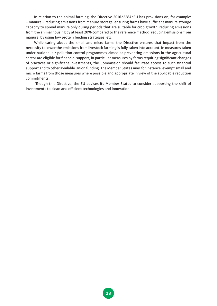In relation to the animal farming, the Directive 2016/2284/EU has provisions on, for example: − manure − reducing emissions from manure storage, ensuring farms have sufficient manure storage capacity to spread manure only during periods that are suitable for crop growth, reducing emissions from the animal housing by at least 20% compared to the reference method, reducing emissions from manure, by using low protein feeding strategies, etc.

While caring about the small and micro farms the Directive ensures that impact from the necessity to lower the emissions from livestock farming is fully taken into account. In measures taken under national air pollution control programmes aimed at preventing emissions in the agricultural sector are eligible for financial support, in particular measures by farms requiring significant changes of practices or significant investments, the Commission should facilitate access to such financial support and to other available Union funding. The Member States may, for instance, exempt small and micro farms from those measures where possible and appropriate in view of the applicable reduction commitments.

 Though this Directive, the EU advises its Member States to consider supporting the shift of investments to clean and efficient technologies and innovation.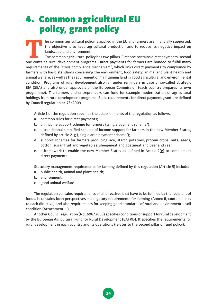## 4. Common agricultural EU policy, grant policy

THE COMMON agricultural policy is applied in the EU and farmers are financially supported;<br>
the objective is to keep agricultural production and to reduce its negative impact on<br>
Intercommon agricultural policy has two pil the objective is to keep agricultural production and to reduce its negative impact on landscape and environment.

The common agricultural policy has two pillars. First one contains direct payments, second requirements of the "cross compliance mechanism", which links direct payments to compliance by farmers with basic standards concerning the environment, food safety, animal and plant health and animal welfare, as well as the requirement of maintaining land in good agricultural and environmental condition. Programs of rural development also fall under reminders in case of so-called strategic EIA (SEA) and also under approvals of the European Commission (each country prepares its own programme). The farmers and entrepreneurs can fund for example modernization of agricultural holdings from rural development programs. Basic requirements for direct payment grant are defined by Council regulation nr. 73/2009.

Article 1 of the regulation specifies the establishments of the regulation as follows:

- a. common rules for direct payments;
- b. an income support scheme for farmers ("single payment scheme");
- c. a transitional simplified scheme of income support for farmers in the new Member States, defined by article 2. g ("single area payment scheme");
- d. support schemes for farmers producing rice, starch potatoes, protein crops, nuts, seeds, cotton, sugar, fruit and vegetables, sheepmeat and goatmeat and beef and veal
- e. a framework to enable the new Member States as defined in Article  $2(g)$  to complement direct payments.

Statutory management requirements for farming defined by this regulation (Article 5) include:

- a. public health, animal and plant health;
- b. environment;
- c. good animal welfare.

The regulation contains requirements of all directives that have to be fulfilled by the recipient of funds. It contains both perspectives – obligatory requirements for farming (Annex II, contains links to each directive) and also requirements for keeping good standards of rural and environmental soil condition (Attachment III).

Another Council regulation (No 1698/2005) specifies conditions of support for rural development by the European Agricultural Fund for Rural Development (EAFRD). It specifies the requirements for rural development in each country and its operations (relates to the second pillar of fund policy).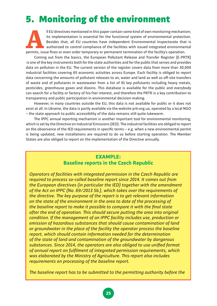## 5. Monitoring of the environment

**All EU directives mentioned in this paper contain some kind of own monitoring mechanism;** its implementation is essential for the functional system of environmental protection.<br>Besides that, all EU countries have independ its implementation is essential for the functional system of environmental protection. Besides that, all EU countries have independent Environmental Inspectorate that is authorized to control compliance of the facilities with issued integrated environmental

Coming out from the basics, the European Pollutant Release and Transfer Register (E-PRTR) is one of the key instruments both for the state authorities and for the public that serves and provides data on pollution in the EU. The current version of the register covers data from more than 30,000 industrial facilities covering 65 economic activities across Europe. Each facility is obliged to report data concerning the amounts of pollutant releases to air, water and land as well as off-site transfers of waste and of pollutants in wastewater from a list of 91 key pollutants including heavy metals, pesticides, greenhouse gases and dioxins. This database is available for the public and everybody can search for a facility or factory of his/her interest, and therefore the PRTR is a key contribution to transparency and public participation in environmental decision-making.

However, in many countries outside the EU, this data is not available for public or it does not exist at all. In Ukraine, the data is partly available via the website prtr.org.ua, operated by a local NGO − the state approach to public accessibility of the data remains still quite lukewarm.

The IPPC annual reporting mechanism is another important tool for environmental monitoring, which is set by the Directive on Industrial Emissions (IED). The industrial facilities are obliged to report on the observance of the IED requirements in specific terms − e.g. when a new environmental permit is being updated, new installations are required to do so before starting operation. The Member States are also obliged to report on the implementation of the Directive annually.

#### **EXAMPLE: Baseline reports in the Czech Republic**

*Operators of facilities with integrated permission in the Czech Republic are required to process so-called baseline report since 2014. It comes out from the European directives (in particular the IED) together with the amendment of the Act on IPPC (No. 69/2013 Sb.), which takes over the requirements of the directive. The key purpose of the report is to get relevant information on the state of the environment in the area to date of the processing of the baseline report to make it possible to compare it with the final state after the end of operation. This should secure putting the area into original condition. If the management of an IPPC facility includes use, production or emission of hazardous substances that should cause contamination of land or groundwater in the place of the facility the operator process the baseline report, which should contain information needed for the determination of the state of land and contamination of the groundwater by dangerous substances. Since 2014, the operators are also obliged to use unified format of annual report on fulfilment of integrated permission requirements, which was elaborated by the Ministry of Agriculture. This report also includes requirements on processing of the baseline report.*

*The baseline report has to be submitted to the permitting authority before the*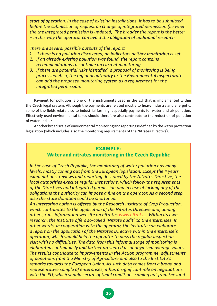*start of operation. In the case of existing installations, it has to be submitted before the submission of request on change of integrated permission (i.e when the the integrated permission is updated). The broader the report is the better*  − *in this way the operator can avoid the obligation of additional research.*

*There are several possible outputs of the report:* 

- *1. If there is no pollution discovered, no indicators neither monitoring is set.*
- *2. If an already existing pollution was found, the report contains recommendations to continue on current monitoring.*
- *3. If there are potential risks identified, a proposal of monitoring is being processed. Also, the regional authority or the Environmental Inspectorate can add the proposed monitoring system as a requirement for the integrated permission.*

Payment for pollution is one of the instruments used in the EU that is implemented within the Czech legal system. Although the payments are related mostly to heavy industry and energetic, some of the fields relate also to industrial farming, especially payments for water and air pollution. Effectively used environmental taxes should therefore also contribute to the reduction of pollution of water and air.

Another broad scale of environmental monitoring and reporting is defined by the water protection legislation (which includes also the monitoring requirements of the Nitrates Directive).

#### **EXAMPLE: Water and nitrates monitoring in the Czech Republic**

*In the case of Czech Republic, the monitoring of water pollution has many levels, mostly coming out from the European legislation. Except the 4 years examinations, reviews and reporting described by the Nitrates Directive, the local authorities execute regular inspections, which follow the requirements of the Directives and integrated permission and in case of lacking any of the obligations the authority can impose a fine on the operator. As a second step, also the state donation could be shortened.*

*An interesting option is offered by the Research Institute of Crop Production, which contributes to the application of the Nitrates Directive and, among others, runs information website on nitrates www.nitrat.cz. Within its own research, the Institute offers so-called "Nitrate audit" to the enterprises. In other words, in cooperation with the operator, the Institute can elaborate a report on the application of the Nitrates Directive within the enterprise´s operation, which should help the operator to pass the regular inspection visit with no difficulties. The data from this informal stage of monitoring is elaborated continuously and further presented as anonymized average values. The results contribute to improvements in the Action programme, adjustments of donations from the Ministry of Agriculture and also to the Institute´s remarks towards the European Union. As such data comes from a broad and representative sample of enterprises, it has a significant role on negotiations with the EU, which should secure optimal conditions coming out from the land*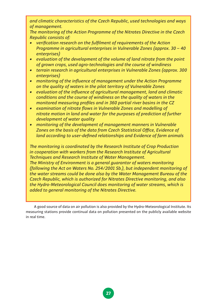*and climatic characteristics of the Czech Republic, used technologies and ways of management.*

*The monitoring of the Action Programme of the Nitrates Directive in the Czech Republic consists of:*

- *• verification research on the fulfilment of requirements of the Action Programme in agricultural enterprises in Vulnerable Zones (approx. 30 − 40 enterprises)*
- *• evaluation of the development of the volume of land nitrate from the point of grown crops, used agro-technologies and the course of windiness*
- *• terrain research in agricultural enterprises in Vulnerable Zones (approx. 300 enterprises)*
- *• monitoring of the influence of management under the Action Programme on the quality of waters in the pilot territory of Vulnerable Zones*
- *• evaluation of the influence of agricultural management, land and climatic conditions and the course of windiness on the quality of waters in the monitored measuring profiles and in 360 partial river basins in the CZ*
- *• examination of nitrate flows in Vulnerable Zones and modelling of nitrate motion in land and water for the purposes of prediction of further development of water quality*
- *• monitoring of the development of management manners in Vulnerable Zones on the basis of the data from Czech Statistical Office, Evidence of land according to user-defined relationships and Evidence of farm animals*

*The monitoring is coordinated by the Research Institute of Crop Production in cooperation with workers from the Research Institute of Agricultural Techniques and Research Institute of Water Management. The Ministry of Environment is a general guarantor of waters monitoring* 

*(following the Act on Waters No. 254/2001 Sb.), but independent monitoring of the water streams could be done also by the Water Management Bureau of the Czech Republic, which is authorized for Nitrates Directive monitoring, and also the Hydro-Meteorological Council does monitoring of water streams, which is added to general monitoring of the Nitrates Directive.* 

A good source of data on air pollution is also provided by the Hydro-Meteorological Institute. Its measuring stations provide continual data on pollution presented on the publicly available website in real time.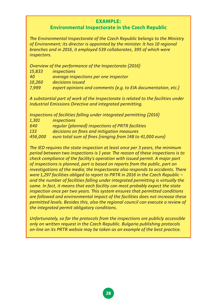#### **EXAMPLE:**

#### **Environmental Inspectorate in the Czech Republic**

*The Environmental Inspectorate of the Czech Republic belongs to the Ministry of Environment; its director is appointed by the minister. It has 10 regional branches and in 2016, it employed 539 collaborates, 395 of which were inspectors.*

*Overview of the performance of the Inspectorate (2016)*

| 15,833    | <i>inspections</i>                                             |
|-----------|----------------------------------------------------------------|
| <b>40</b> | average inspections per one inspector                          |
| 10,260    | decisions issued                                               |
| 7,999     | expert opinions and comments (e.g. to EIA documentation, etc.) |

*A substantial part of work of the Inspectorate is related to the facilities under Industrial Emissions Directive and integrated permitting.*

*Inspections of facilities falling under integrated permitting (2016)*

*1,301 inspections*

*640 regular (planned) inspections of PRTR facilities*

*133 decisions on fines and mitigation measures*

*456,000 euro total sum of fines (ranging from 148 to 41,000 euro)*

*The IED requires the state inspection at least once per 3 years, the minimum period between two inspections is 1 year. The reason of these inspections is to check compliance of the facility's operation with issued permit. A major part of inspections is planned, part is based on reports from the public, part on investigations of the media; the Inspectorate also responds to accidents. There were 1,297 facilities obliged to report to PRTR in 2016 in the Czech Republic – and the number of facilities falling under integrated permitting is virtually the same. In fact, it means that each facility can most probably expect the state inspection once per two years. This system ensures that permitted conditions are followed and environmental impact of the facilities does not increase these permitted levels. Besides this, also the regional council can execute a review of the integrated permit obligatory conditions.*

*Unfortunately, so far the protocols from the inspections are publicly accessible only on written request in the Czech Republic. Bulgaria publishing protocols on-line on its PRTR websie may be taken as an example of the best practice.*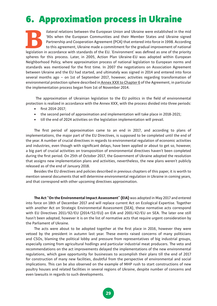## 6. Approximation process in Ukraine

**Bilateral relations between the European Union and Ukraine were established in the mid '90s when the European Communities and their Member States and Ukraine signed Partnership and Cooperation Agreement (PCA) that entered** '90s when the European Communities and their Member States and Ukraine signed Partnership and Cooperation Agreement (PCA) that entered into force in 1998. According to this agreement, Ukraine made a commitment for the gradual improvement of national spheres for this process. Later, in 2005, Action Plan Ukraine-EU was adopted within European Neighborhood Policy, where approximation process of national legislation to European norms and standards was mentioned for the first time. In 2007 the negotiations on Association Agreement between Ukraine and the EU had started, and ultimately was signed in 2014 and entered into force several months ago – on 1st of September 2017, however, activities regarding transformation of environmental protection sphere described in Annex XXX to Chapter 6 of the Agreement, in particular the implementation process began from 1st of November 2014.

 The approximation of Ukrainian legislation to the EU politics in the field of environmental protection is realized in accordance with the Annex XXX, with the process divided into three periods:

- first 2014-2017;
- the second period of approximation and implementation will take place in 2018-2021;
- till the end of 2024 activities on the legislation implementation will prevail.

The first period of approximation came to an end in 2017, and according to plans of implementations, the major part of the EU Directives, is supposed to be completed until the end of the year. A number of crucial directives in regards to environmental regulation of economic activities and industries, even though with significant delays, have been applied or about to get so, however, a big part of crucial activities on transposition of environmental directives haven't been completed during the first period. On 25th of October 2017, the Government of Ukraine adopted the resolution that assigns new implementation plans and activities, nevertheless, the new plans weren't publicly released as of the end of January 2018.

Besides the EU directives and policies described in previous chapters of this paper, it is worth to mention several documents that will determine environmental regulation in Ukraine in coming years, and that correspond with other upcoming directives approximation.

**The Act "On the Environmental Impact Assessment" (EIA)** was adopted in May 2017 and entered into force on 18th of December 2017 and will replace current Act on Ecological Expertise. Together with another Act on Strategic Environmental Assessment (SEA), these normative acts correspond with EU Directives 2011/92/EU (2014/52/EU) on EIA and 2001/42/EU on SEA. The later one still hasn't been adopted, however it is on the list of normative acts that require urgent consideration by the Parliament of Ukraine.

The acts were about to be adopted together at the first place in 2016, however they were vetoed by the president in autumn last year. These events raised concerns of many politicians and CSOs, blaming the political lobby and pressure from representatives of big industrial groups, especially coming from agricultural hodlings and particular industrial meat producers. The veto and recommendations on the act improvements delayed the implementations of the new environmental regulations, which gave opportunity for businesses to accomplish their plans till the end of 2017 for construction of many new facilities, doubtful from the perspective of environmental and social implications. This can be also observed on the example of MHP rush to start constructions of new poultry houses and related facilities in several regions of Ukraine, despite number of concerns and even lawsuits in regards to such developments.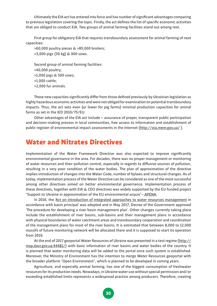Ultimately the EIA act has entered into force and has number of significant advantages comparing to previous legislation covering the topic. Firstly, the act defines the list of specific economic activities that are obliged to conduct EIA. Two groups of animal farming facilities stand out among rest.

First group for obligatory EIA that requires transboundary assessment for animal farming of next capacities:

>60,000 poultry pieces & >85,000 broilers;

>3,000 pigs (30 kg) & 900 sows.

Second group of animal farming facilities: >40,000 poultry; >1,000 pigs & 500 sows; >1,000 cattle; >2,000 fur animals.

These new capacities significantly differ from those defined previously by Ukrainian legislation as highly hazardous economic activities and were not obliged for examination on potential transboundary impacts. Thus, the act sets even (or lower for pig farms) minimal production capacities for animal farms as set in the IED 2010/75/EU.

Other advantages of the EIA act include – assurance of proper, transparent public participation and decision-making process in local communities, free access to information and establishment of public register of environmental impact assessments in the Internet (http://eia.menr.gov.ua/).

### Water and Nitrates Directives

Implementation of the Water Framework Directive was also expected to improve significantly environmental governance in the area. For decades, there was no proper management or monitoring of water resources and their pollution control, especially in regards to diffusive sources of pollution, resulting in a very poor condition of the water bodies. The plan of approximation of the directive implies introduction of changes into the Water Code, number of bylaws and structural changes. As of today, implementation process of the Water Directive can be considered as one of the most successful among other directives aimed on better environmental governance. Implementation process of these directives, together with EIA & CEO directives was widely supported by the EU-funded project "Support to Ukraine in approximation of the EU environmental acquis"− APENA.

In 2016, the 'Act on introduction of integrated approaches to water resources management in accordance with basin principal' was adopted and in May 2017, Decree of the Government approved 'The procedure for developing a river basin management plan'. Other changes currently taking place include the establishment of river basins, sub-basins and their management plans in accordance with physical boundaries of water catchment areas and transboundary cooperation and coordination of the management plans for most of the river basins. It is estimated that between 8,000 to 12,000 massifs of future monitoring network will be allocated there and it is supposed to start its operation from 2019.

At the end of 2017 geoportal Water Resources of Ukraine was presented in a test regime (http:// map.davr.gov.ua:44481/) with basic information of river basins and water bodies of the country. It is planned that water monitoring data will be added to the portal once such system is established. Moreover, the Ministry of Environment has the intention to merge Water Resources geoportal with the broader platform "Open Environment", which is planned to be developed in coming years.

Agriculture, and especially animal farming, has one of the biggest consumption of freshwater resources for its production needs. Nowadays, in Ukraine water use without special permission and/or exceeding established limits represents a widespread practice among producers. Therefore, creating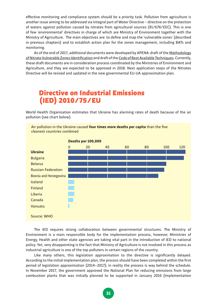effective monitoring and compliance system should be a priority task. Pollution from agriculture is another issue aiming to be addressed via Integral part of Water Directive − directive on the protection of waters against pollution caused by nitrates from agricultural sources (91/676/EEC). This is one of few 'environmental' directives in charge of which are Ministry of Environment together with the Ministry of Agriculture. The main objectives are: to define and map the 'vulnerable zones' (described in previous chapters) and to establish action plan for the zones management, including BATs and monitoring.

As of the end of 2017, additional documents were developed by APENA: draft of the Methodology of Nitrate Vulnerable Zones Identification and draft of the Code of Best Available Techniques. Currently, these draft documents are in consideration process coordinated by the Ministries of Environment and Agriculture, and they are expected to be approved in 2018. Next application steps of the Nitrates Directive will be revised and updated in the new governmental EU-UA approximation plan.

### Directive on Industrial Emissions (IED) 2010/75/EU

World Health Organisation estimates that Ukraine has alarming rates of death because of the air pollution (see chart below).



Air pollution in the Ukraine caused **four times more deaths per capita** than the five

The IED requires strong collaboration between governmental structures. The Ministry of Environment is a main responsible body for the implementation process, however, Ministries of Energy, Health and other state agencies are taking vital part in the introduction of IED to national policy. Yet, very disappointing is the fact that Ministry of Agriculture is not involved in this process as industrial agriculture is one of the top polluters in certain regions of the country.

Like many others, this legislation approximation to the directive is significantly delayed. According to the initial implementation plan, the process should have been completed within the first period of legislation approximation (2014–2017); in reality the process is way behind the schedule. In November 2017, the government approved the National Plan for reducing emissions from large combustion plants that was initially planned to be supported in January 2016 (Implementation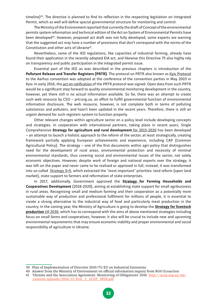timeline)<sup>39</sup>. The directive is planned to find its reflection in the respecting legislation on Integrated Permit, which as well will define special governmental structure for monitoring and control.

The Ministry of the Environment reported that currently the draft of Concept of the environmental permits system reformation and technical edition of the Act on System of Environmental Permits have been developed<sup>40</sup>. However, proposed act draft was not fully developed; some experts are warning that the suggested act may have a number of provisions that don't correspond with the norms of the Constitution and other acts of Ukraine<sup>41</sup>.

Nevertheless, some of the IED regulations, like capacities of industrial farming, already have found their application in the recently adopted EIA act, and likewise this Directive 75 also highly rely on transparency and public participation in the integrated permit issue.

Essential part of the IED as was described in the previous chapters is introduction of the **Pollutant Release and Transfer Registers (PRTR)**. The protocol on PRTR also known as Kyiv Protocol to the Aarhus convention was adopted at the conference of the convention parties in May 2003 in Kyiv. In early 2016, the act on ratification of the PRTR protocol was signed. Open data from such PRTR would be a significant step forward to quality environmental monitoring development in the country, however, yet there still is no actual information available. So far, there was an attempt to create such web resource by CSO − prtr.org.ua, an effort to fulfill governmental function of environmental information disclosure. The web resource, however, is not complete both in terms of polluting substances and polluters, and hasn't been updated in the recent years. Therefore, there is still an urgent demand for such registers system to function properly.

Other relevant changes within agriculture sector on a policy level include developing concepts and strategies. In cooperation with international partners, taking place in recent years, Single Comprehensive **Strategy for agriculture and rural development** for 2015-2020 has been developed − an attempt to launch a holistic approach to the reform of the sector, at least strategically, creating framework partially applying European achievements and experience, including CAP (Common Agricultural Policy). The strategy – one of the first documents within agri-policy that distinguishes need for the development of rural areas, environmental protection and necessity of minimal environmental standards, thus covering social and environmental issues of the sector, not solely economic objectives. However, despite work of foreign and national experts over the strategy, it was left on the paper and never came to be realised or approved in full, instead, it was transformed into so-called Strategy 3+5, which extracted the "most important" priorities: land reform (open land market), state support to farmers and reformation of state enterprises.

In 2017, additionally, Government approved the **Strategy for Farming Households and Cooperatives Development** (2018-2020), aiming at establishing state support for small agribusiness in rural areas. Recognising small and medium farming and their cooperation as a potentially more sustainable way of production and professional fulfilment for millions of people, it is essential to create a strong alternative to the industrial way of food and particularly meat production in the country. In the coming year, the Ministry of Agriculture is going to develop the **Strategy for livestock production** till 2030, which has to correspond with the aims of above mentioned strategies including focus on small farms and cooperatives, however, it also will be crucial to include new and upcoming environmental requirements that may ensure economic viability and proper environmental and social responsibility of agriculture in Ukraine.

<sup>39</sup> Plan of Implementation of Directive 2010/75/EU on Industrial Emissions

<sup>40</sup> Answer from the Ministry of Environment on official information inquiry from NGO Ecoaction

<sup>41 &#</sup>x27;Ukraine and the Association Agreement. Monitoring of Obligations' 2016 http://ucep.org.ua/wp- -content/uploads/2016/12/Zvit\_2\_UCEP\_WEB.pdf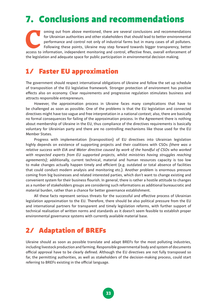## 7. Conclusions and recommendations

oming out from above mentioned, there are several conclusions and recommendations<br>
for Ukrainian authorities and other stakeholders that should lead to better environmental<br>
performance and control not only of industrial f for Ukrainian authorities and other stakeholders that should lead to better environmental performance and control not only of industrial farms but in many cases of all polluters. Following these points, Ukraine may step forward towards bigger transparency, better the legislation and adequate space for public participation in environmental decision making.

### 1/ Faster EU approximation

The government should respect international obligations of Ukraine and follow the set up schedule of transposition of the EU legislative framework. Stronger protection of environment has positive effects also on economy. Clear requirements and progressive regulation stimulates business and attracts responsible entrepreneurs.

However, the approximation process in Ukraine faces many complications that have to be challenged as soon as possible. One of the problems is that the EU legislation and connected directives might have too vague and free interpretation in a national context; also, there are basically no formal consequences for failing of the approximation process. In the Agreement there is nothing about membership of Ukraine in the EU, thus compliance of the directives requirements is basically voluntary for Ukrainian party and there are no controlling mechanisms like those used for the EU Member States.

Progress with implementation (transposition) of EU directives into Ukrainian legislation highly depends on existence of supporting projects and their coalitions with CSOs *(there was a relative success with EIA and Water directive caused by work of the handful of CSOs who worked with respected experts from EU supported projects, whilst ministries having struggles reaching agreements);* additionally, current technical, material and human resources capacity is too low to make changes actually happen timely and efficient (e.g. outdated or total absence of facilities that could conduct modern analysis and monitoring etc.). Another problem is enormous pressure coming from big businesses and related interested parties, which don't want to change existing and convenient system for their business flourish. In general, there is rather a hostile attitude to changes as a number of stakeholders groups are considering such reformations as additional bureaucratic and material burden, rather than a chance for better governance establishment.

All these facts represent serious threats for the successful and effective process of Ukrainian legislation approximation to the EU. Therefore, there should be also political pressure from the EU and international partners for transparent and timely legislation reforms, with further support of technical realisation of written norms and standards as it doesn't seem feasible to establish proper environmental governance systems with currently available material base.

### 2/ Adaptation of BREFs

Ukraine should as soon as possible translate and adapt BREFs for the most polluting industries, including livestock production and farming. Responsible governmental body and system of documents official approval have to be clearly defined. Although the EU directives are not fully transposed so far, the permitting authorities, as well as stakeholders of the decision-making process, could start referring to BREFs existing in the official language.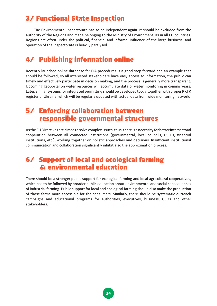### 3/ Functional State Inspection

The Environmental Inspectorate has to be independent again. It should be excluded from the authority of the Regions and made belonging to the Ministry of Environment, as in all EU countries. Regions are often under the political, financial and informal influence of the large business, and operation of the Inspectorate is heavily paralysed.

### 4/ Publishing information online

Recently launched online database for EIA procedures is a good step forward and an example that should be followed, so all interested stakeholders have easy access to information, the public can timely and effectively participate in decision making, and the process is generally more transparent. Upcoming geoportal on water resources will accumulate data of water monitoring in coming years. Later, similar systems for integrated permitting should be developed too, altogether with proper PRTR register of Ukraine, which will be regularly updated with actual data from wide monitoring network.

### 5/ Enforcing collaboration between responsible governmental structures

As the EU Directives are aimed to solve complex issues, thus, there is a necessity for better intersectoral cooperation between all connected institutions (governmental, local councils, CSO´s, financial institutions, etc.), working together on holistic approaches and decisions. Insufficient institutional communication and collaboration significantly inhibit also the approximation process.

### 6/ Support of local and ecological farming & environmental education

There should be a stronger public support for ecological farming and local agricultural cooperatives, which has to be followed by broader public education about environmental and social consequences of industrial farming. Public support for local and ecological farming should also make the production of those farms more accessible for the consumers. Similarly, there should be systematic outreach campaigns and educational programs for authorities, executives, business, CSOs and other stakeholders.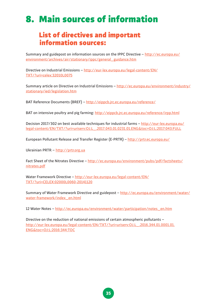## 8. Main sources of information

### List of directives and important information sources:

Summary and guidepost on information sources on the IPPC Directive − http://ec.europa.eu/ environment/archives/air/stationary/ippc/general\_guidance.htm

Directive on Industrial Emissions − http://eur-lex.europa.eu/legal-content/EN/ TXT/?uri=celex:32010L0075

Summary article on Directive on Industrial Emissions − http://ec.europa.eu/environment/industry/ stationary/ied/legislation.htm

BAT Reference Documents (BREF) – http://eippcb.jrc.ec.europa.eu/reference/

BAT on intensive poultry and pig farming: http://eippcb.jrc.ec.europa.eu/reference/irpp.html

Decision 2017/302 on best available techniques for industrial farms - http://eur-lex.europa.eu/ legal-content/EN/TXT/?uri=uriserv:OJ.L\_.2017.043.01.0231.01.ENG&toc=OJ:L:2017:043:FULL

European Pollutant Release and Transfer Register (E-PRTR) − http://prtr.ec.europa.eu/

Ukrainian PRTR – http://prtr.org.ua

Fact Sheet of the Nitrates Directive − http://ec.europa.eu/environment/pubs/pdf/factsheets/ nitrates.pdf

Water Framework Directive − http://eur-lex.europa.eu/legal-content/EN/ TXT/?uri=CELEX:02000L0060-20141120

Summary of Water Framework Directive and guidepost − http://ec.europa.eu/environment/water/ water-framework/index\_en.html

12 Water Notes − http://ec.europa.eu/environment/water/participation/notes\_en.htm

Directive on the reduction of national emissions of certain atmospheric pollutants – http://eur-lex.europa.eu/legal-content/EN/TXT/?uri=uriserv:OJ.L\_.2016.344.01.0001.01. ENG&toc=OJ:L:2016:344:TOC